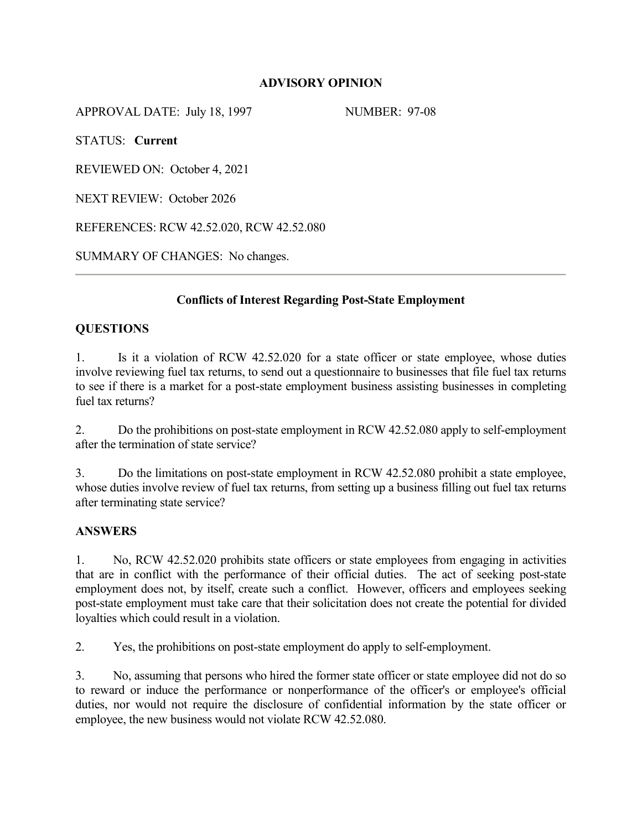## **ADVISORY OPINION**

APPROVAL DATE: July 18, 1997 NUMBER: 97-08

STATUS: **Current**

REVIEWED ON: October 4, 2021

NEXT REVIEW: October 2026

REFERENCES: RCW 42.52.020, RCW 42.52.080

SUMMARY OF CHANGES: No changes.

# **Conflicts of Interest Regarding Post-State Employment**

### **QUESTIONS**

1. Is it a violation of RCW 42.52.020 for a state officer or state employee, whose duties involve reviewing fuel tax returns, to send out a questionnaire to businesses that file fuel tax returns to see if there is a market for a post-state employment business assisting businesses in completing fuel tax returns?

2. Do the prohibitions on post-state employment in RCW 42.52.080 apply to self-employment after the termination of state service?

3. Do the limitations on post-state employment in RCW 42.52.080 prohibit a state employee, whose duties involve review of fuel tax returns, from setting up a business filling out fuel tax returns after terminating state service?

#### **ANSWERS**

1. No, RCW 42.52.020 prohibits state officers or state employees from engaging in activities that are in conflict with the performance of their official duties. The act of seeking post-state employment does not, by itself, create such a conflict. However, officers and employees seeking post-state employment must take care that their solicitation does not create the potential for divided loyalties which could result in a violation.

2. Yes, the prohibitions on post-state employment do apply to self-employment.

3. No, assuming that persons who hired the former state officer or state employee did not do so to reward or induce the performance or nonperformance of the officer's or employee's official duties, nor would not require the disclosure of confidential information by the state officer or employee, the new business would not violate RCW 42.52.080.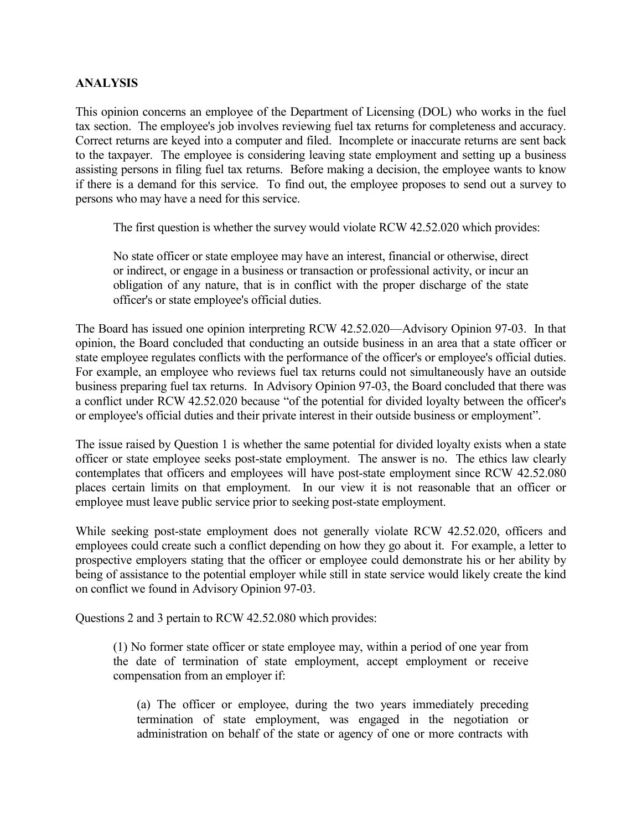### **ANALYSIS**

This opinion concerns an employee of the Department of Licensing (DOL) who works in the fuel tax section. The employee's job involves reviewing fuel tax returns for completeness and accuracy. Correct returns are keyed into a computer and filed. Incomplete or inaccurate returns are sent back to the taxpayer. The employee is considering leaving state employment and setting up a business assisting persons in filing fuel tax returns. Before making a decision, the employee wants to know if there is a demand for this service. To find out, the employee proposes to send out a survey to persons who may have a need for this service.

The first question is whether the survey would violate RCW 42.52.020 which provides:

No state officer or state employee may have an interest, financial or otherwise, direct or indirect, or engage in a business or transaction or professional activity, or incur an obligation of any nature, that is in conflict with the proper discharge of the state officer's or state employee's official duties.

The Board has issued one opinion interpreting RCW 42.52.020—Advisory Opinion 97-03. In that opinion, the Board concluded that conducting an outside business in an area that a state officer or state employee regulates conflicts with the performance of the officer's or employee's official duties. For example, an employee who reviews fuel tax returns could not simultaneously have an outside business preparing fuel tax returns. In Advisory Opinion 97-03, the Board concluded that there was a conflict under RCW 42.52.020 because "of the potential for divided loyalty between the officer's or employee's official duties and their private interest in their outside business or employment".

The issue raised by Question 1 is whether the same potential for divided loyalty exists when a state officer or state employee seeks post-state employment. The answer is no. The ethics law clearly contemplates that officers and employees will have post-state employment since RCW 42.52.080 places certain limits on that employment. In our view it is not reasonable that an officer or employee must leave public service prior to seeking post-state employment.

While seeking post-state employment does not generally violate RCW 42.52.020, officers and employees could create such a conflict depending on how they go about it. For example, a letter to prospective employers stating that the officer or employee could demonstrate his or her ability by being of assistance to the potential employer while still in state service would likely create the kind on conflict we found in Advisory Opinion 97-03.

Questions 2 and 3 pertain to RCW 42.52.080 which provides:

(1) No former state officer or state employee may, within a period of one year from the date of termination of state employment, accept employment or receive compensation from an employer if:

(a) The officer or employee, during the two years immediately preceding termination of state employment, was engaged in the negotiation or administration on behalf of the state or agency of one or more contracts with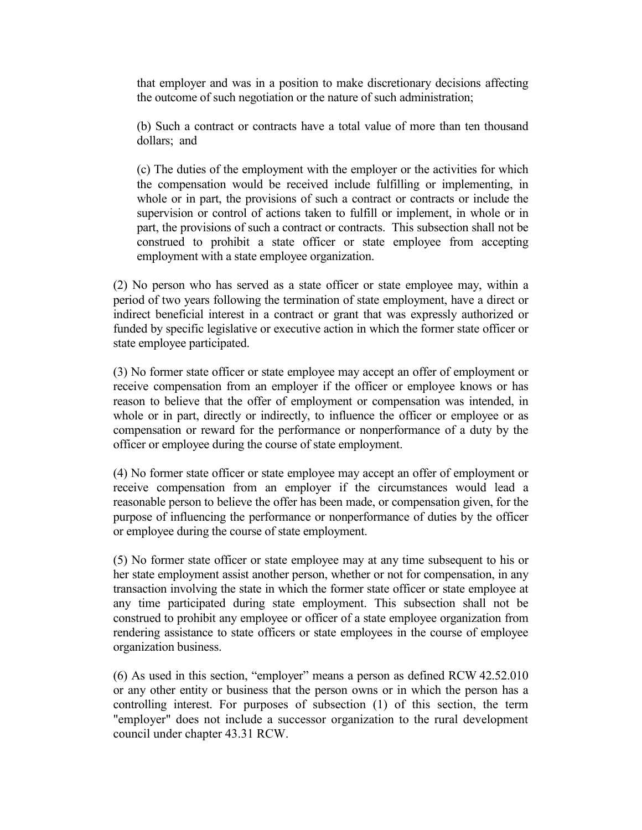that employer and was in a position to make discretionary decisions affecting the outcome of such negotiation or the nature of such administration;

(b) Such a contract or contracts have a total value of more than ten thousand dollars; and

(c) The duties of the employment with the employer or the activities for which the compensation would be received include fulfilling or implementing, in whole or in part, the provisions of such a contract or contracts or include the supervision or control of actions taken to fulfill or implement, in whole or in part, the provisions of such a contract or contracts. This subsection shall not be construed to prohibit a state officer or state employee from accepting employment with a state employee organization.

(2) No person who has served as a state officer or state employee may, within a period of two years following the termination of state employment, have a direct or indirect beneficial interest in a contract or grant that was expressly authorized or funded by specific legislative or executive action in which the former state officer or state employee participated.

(3) No former state officer or state employee may accept an offer of employment or receive compensation from an employer if the officer or employee knows or has reason to believe that the offer of employment or compensation was intended, in whole or in part, directly or indirectly, to influence the officer or employee or as compensation or reward for the performance or nonperformance of a duty by the officer or employee during the course of state employment.

(4) No former state officer or state employee may accept an offer of employment or receive compensation from an employer if the circumstances would lead a reasonable person to believe the offer has been made, or compensation given, for the purpose of influencing the performance or nonperformance of duties by the officer or employee during the course of state employment.

(5) No former state officer or state employee may at any time subsequent to his or her state employment assist another person, whether or not for compensation, in any transaction involving the state in which the former state officer or state employee at any time participated during state employment. This subsection shall not be construed to prohibit any employee or officer of a state employee organization from rendering assistance to state officers or state employees in the course of employee organization business.

(6) As used in this section, "employer" means a person as defined RCW 42.52.010 or any other entity or business that the person owns or in which the person has a controlling interest. For purposes of subsection (1) of this section, the term "employer" does not include a successor organization to the rural development council under chapter [43.31](http://app.leg.wa.gov/RCW/default.aspx?cite=43.31) RCW.